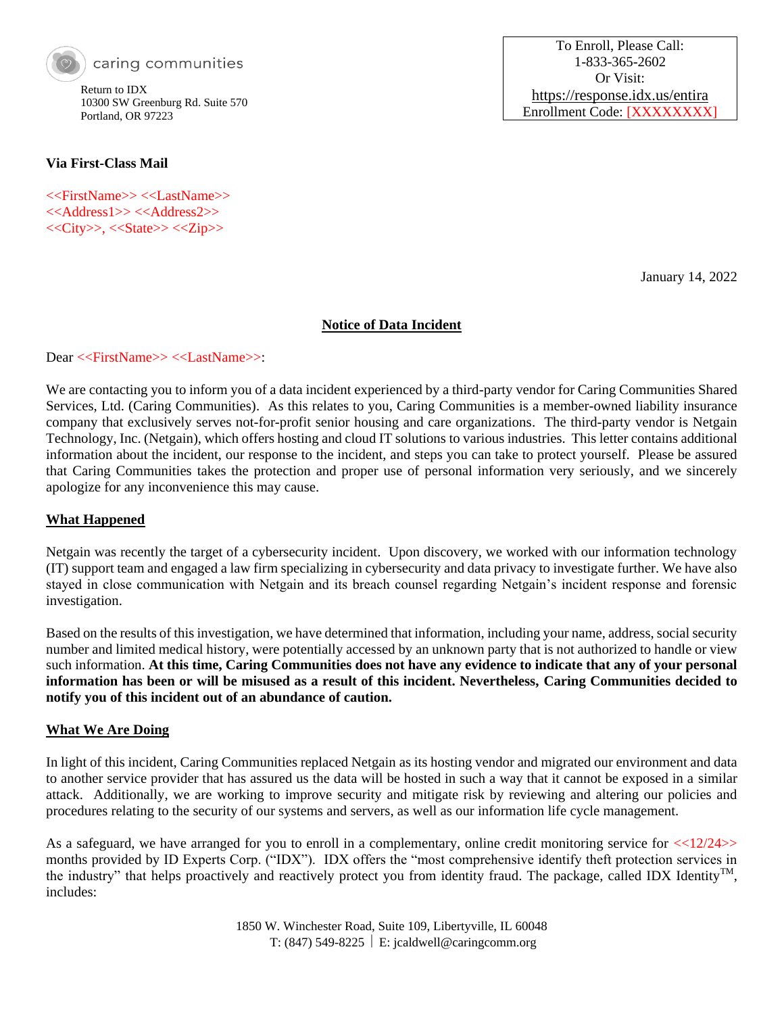

Return to IDX 10300 SW Greenburg Rd. Suite 570 Portland, OR 97223

**Via First-Class Mail**

<<FirstName>> <<LastName>> <<Address1>> <<Address2>>  $<>, <> <>$ 

To Enroll, Please Call: 1-833-365-2602 Or Visit: <https://response.idx.us/entira> Enrollment Code: [XXXXXXXX]

January 14, 2022

## **Notice of Data Incident**

#### Dear <<FirstName>> <<LastName>>:

We are contacting you to inform you of a data incident experienced by a third-party vendor for Caring Communities Shared Services, Ltd. (Caring Communities). As this relates to you, Caring Communities is a member-owned liability insurance company that exclusively serves not-for-profit senior housing and care organizations. The third-party vendor is Netgain Technology, Inc. (Netgain), which offers hosting and cloud IT solutions to various industries. This letter contains additional information about the incident, our response to the incident, and steps you can take to protect yourself. Please be assured that Caring Communities takes the protection and proper use of personal information very seriously, and we sincerely apologize for any inconvenience this may cause.

#### **What Happened**

Netgain was recently the target of a cybersecurity incident. Upon discovery, we worked with our information technology (IT) support team and engaged a law firm specializing in cybersecurity and data privacy to investigate further. We have also stayed in close communication with Netgain and its breach counsel regarding Netgain's incident response and forensic investigation.

Based on the results of this investigation, we have determined that information, including your name, address, social security number and limited medical history, were potentially accessed by an unknown party that is not authorized to handle or view such information. **At this time, Caring Communities does not have any evidence to indicate that any of your personal information has been or will be misused as a result of this incident. Nevertheless, Caring Communities decided to notify you of this incident out of an abundance of caution.**

#### **What We Are Doing**

In light of this incident, Caring Communities replaced Netgain as its hosting vendor and migrated our environment and data to another service provider that has assured us the data will be hosted in such a way that it cannot be exposed in a similar attack. Additionally, we are working to improve security and mitigate risk by reviewing and altering our policies and procedures relating to the security of our systems and servers, as well as our information life cycle management.

As a safeguard, we have arranged for you to enroll in a complementary, online credit monitoring service for  $\langle$ 12/24>> months provided by ID Experts Corp. ("IDX"). IDX offers the "most comprehensive identify theft protection services in the industry" that helps proactively and reactively protect you from identity fraud. The package, called IDX Identity<sup>TM</sup>, includes:

> 1850 W. Winchester Road, Suite 109, Libertyville, IL 60048 T: (847) 549-8225 | E: jcaldwell@caringcomm.org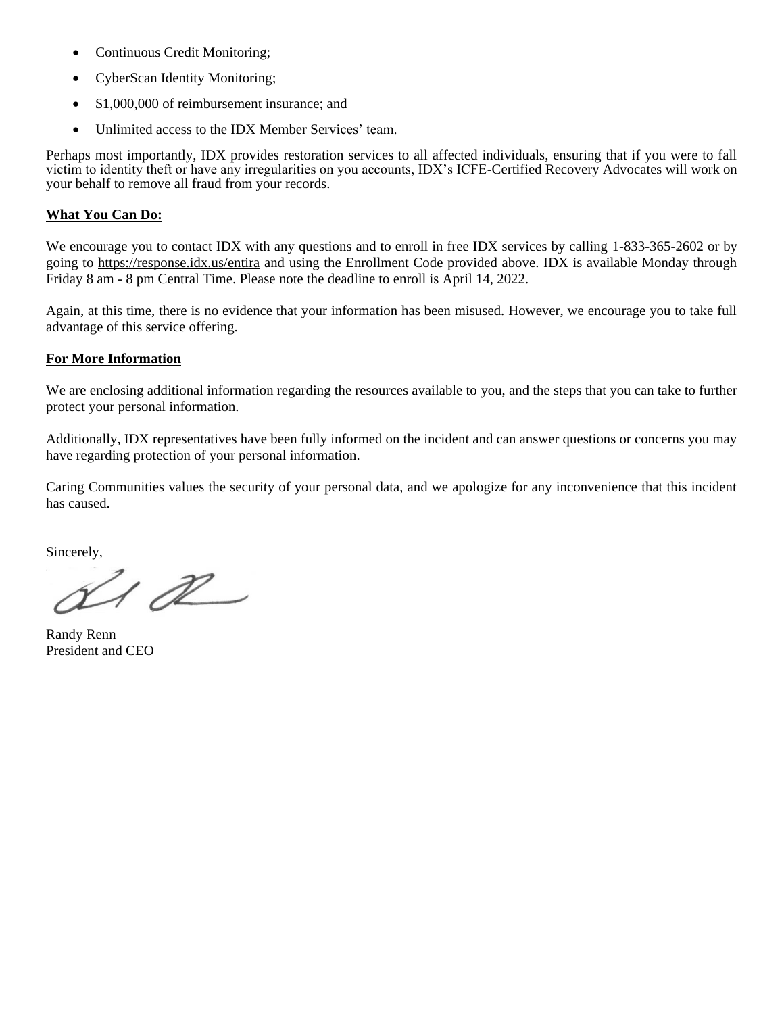- Continuous Credit Monitoring;
- CyberScan Identity Monitoring;
- \$1,000,000 of reimbursement insurance; and
- Unlimited access to the IDX Member Services' team.

Perhaps most importantly, IDX provides restoration services to all affected individuals, ensuring that if you were to fall victim to identity theft or have any irregularities on you accounts, IDX's ICFE-Certified Recovery Advocates will work on your behalf to remove all fraud from your records.

### **What You Can Do:**

We encourage you to contact IDX with any questions and to enroll in free IDX services by calling 1-833-365-2602 or by going to<https://response.idx.us/entira> and using the Enrollment Code provided above. IDX is available Monday through Friday 8 am - 8 pm Central Time. Please note the deadline to enroll is April 14, 2022.

Again, at this time, there is no evidence that your information has been misused. However, we encourage you to take full advantage of this service offering.

## **For More Information**

We are enclosing additional information regarding the resources available to you, and the steps that you can take to further protect your personal information.

Additionally, IDX representatives have been fully informed on the incident and can answer questions or concerns you may have regarding protection of your personal information.

Caring Communities values the security of your personal data, and we apologize for any inconvenience that this incident has caused.

Sincerely,

 $42$ 

Randy Renn President and CEO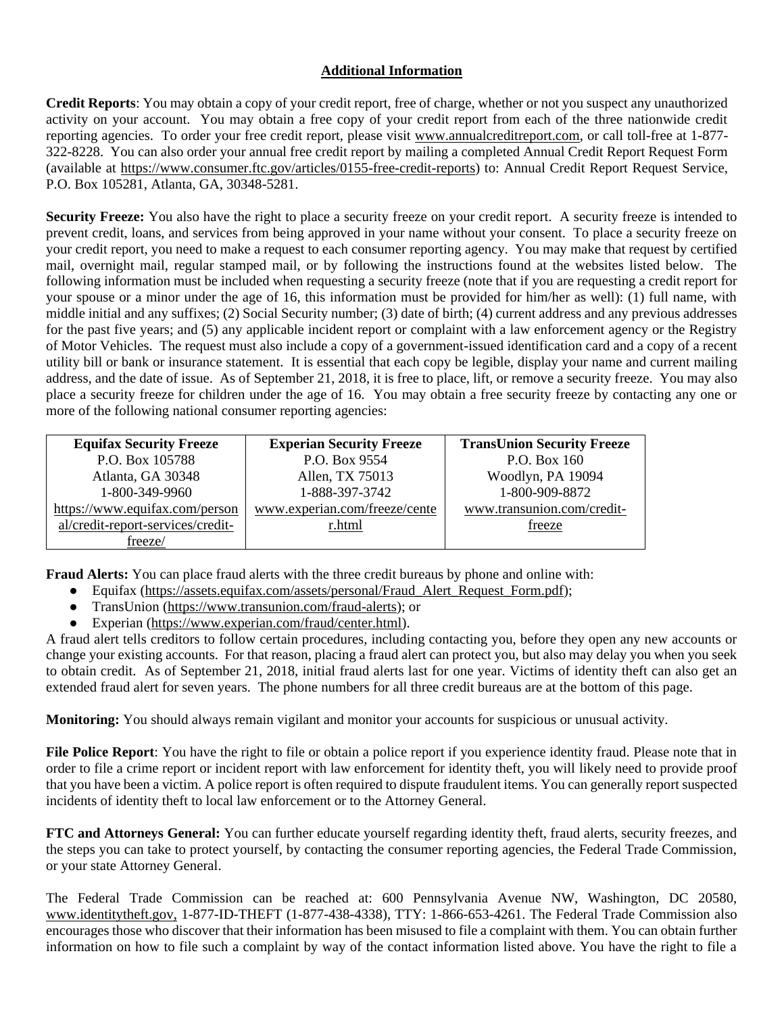# **Additional Information**

**Credit Reports**: You may obtain a copy of your credit report, free of charge, whether or not you suspect any unauthorized activity on your account. You may obtain a free copy of your credit report from each of the three nationwide credit reporting agencies. To order your free credit report, please visit www.annualcreditreport.com, or call toll-free at 1-877- 322-8228. You can also order your annual free credit report by mailing a completed Annual Credit Report Request Form (available at [https://www.consumer.ftc.gov/articles/0155-free-credit-reports\)](https://www.consumer.ftc.gov/articles/0155-free-credit-reports) to: Annual Credit Report Request Service, P.O. Box 105281, Atlanta, GA, 30348-5281.

**Security Freeze:** You also have the right to place a security freeze on your credit report. A security freeze is intended to prevent credit, loans, and services from being approved in your name without your consent. To place a security freeze on your credit report, you need to make a request to each consumer reporting agency. You may make that request by certified mail, overnight mail, regular stamped mail, or by following the instructions found at the websites listed below. The following information must be included when requesting a security freeze (note that if you are requesting a credit report for your spouse or a minor under the age of 16, this information must be provided for him/her as well): (1) full name, with middle initial and any suffixes; (2) Social Security number; (3) date of birth; (4) current address and any previous addresses for the past five years; and (5) any applicable incident report or complaint with a law enforcement agency or the Registry of Motor Vehicles. The request must also include a copy of a government-issued identification card and a copy of a recent utility bill or bank or insurance statement. It is essential that each copy be legible, display your name and current mailing address, and the date of issue. As of September 21, 2018, it is free to place, lift, or remove a security freeze. You may also place a security freeze for children under the age of 16. You may obtain a free security freeze by contacting any one or more of the following national consumer reporting agencies:

| <b>Equifax Security Freeze</b>    | <b>Experian Security Freeze</b> | <b>TransUnion Security Freeze</b> |
|-----------------------------------|---------------------------------|-----------------------------------|
| P.O. Box 105788                   | P.O. Box 9554                   | P.O. Box 160                      |
| Atlanta, GA 30348                 | Allen, TX 75013                 | Woodlyn, PA 19094                 |
| 1-800-349-9960                    | 1-888-397-3742                  | 1-800-909-8872                    |
| https://www.equifax.com/person    | www.experian.com/freeze/cente   | www.transunion.com/credit-        |
| al/credit-report-services/credit- | r.html                          | freeze                            |
| freeze/                           |                                 |                                   |

**Fraud Alerts:** You can place fraud alerts with the three credit bureaus by phone and online with:

- Equifax (https://assets.equifax.com/assets/personal/Fraud\_Alert\_Request\_Form.pdf);
- TransUnion (https://www.transunion.com/fraud-alerts); or
- Experian (https://www.experian.com/fraud/center.html).

A fraud alert tells creditors to follow certain procedures, including contacting you, before they open any new accounts or change your existing accounts. For that reason, placing a fraud alert can protect you, but also may delay you when you seek to obtain credit. As of September 21, 2018, initial fraud alerts last for one year. Victims of identity theft can also get an extended fraud alert for seven years. The phone numbers for all three credit bureaus are at the bottom of this page.

**Monitoring:** You should always remain vigilant and monitor your accounts for suspicious or unusual activity.

**File Police Report**: You have the right to file or obtain a police report if you experience identity fraud. Please note that in order to file a crime report or incident report with law enforcement for identity theft, you will likely need to provide proof that you have been a victim. A police report is often required to dispute fraudulent items. You can generally report suspected incidents of identity theft to local law enforcement or to the Attorney General.

**FTC and Attorneys General:** You can further educate yourself regarding identity theft, fraud alerts, security freezes, and the steps you can take to protect yourself, by contacting the consumer reporting agencies, the Federal Trade Commission, or your state Attorney General.

The Federal Trade Commission can be reached at: 600 Pennsylvania Avenue NW, Washington, DC 20580, [www.identitytheft.gov,](http://www.identitytheft.gov/) 1-877-ID-THEFT (1-877-438-4338), TTY: 1-866-653-4261. The Federal Trade Commission also encourages those who discover that their information has been misused to file a complaint with them. You can obtain further information on how to file such a complaint by way of the contact information listed above. You have the right to file a